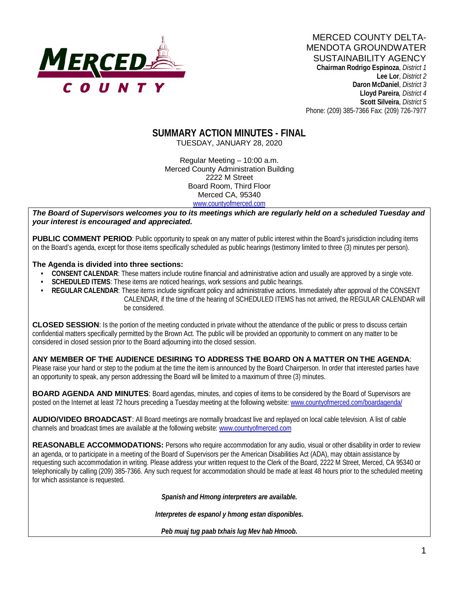

**Chairman Rodrigo Espinoza**, *District 1* **Lee Lor**, *District 2*  **Daron McDaniel**, *District 3* **Lloyd Pareira***, District 4*  **Scott Silveira**, *District 5* Phone: (209) 385-7366 Fax: (209) 726-7977

# **SUMMARY ACTION MINUTES - FINAL**

TUESDAY, JANUARY 28, 2020

Regular Meeting – 10:00 a.m. Merced County Administration Building 2222 M Street Board Room, Third Floor Merced CA, 95340 www.countyofmerced.com

*The Board of Supervisors welcomes you to its meetings which are regularly held on a scheduled Tuesday and your interest is encouraged and appreciated.*

**PUBLIC COMMENT PERIOD**: Public opportunity to speak on any matter of public interest within the Board's jurisdiction including items on the Board's agenda, except for those items specifically scheduled as public hearings (testimony limited to three (3) minutes per person).

#### **The Agenda is divided into three sections:**

- **CONSENT CALENDAR**: These matters include routine financial and administrative action and usually are approved by a single vote.
- **SCHEDULED ITEMS:** These items are noticed hearings, work sessions and public hearings.
- **REGULAR CALENDAR**: These items include significant policy and administrative actions. Immediately after approval of the CONSENT CALENDAR, if the time of the hearing of SCHEDULED ITEMS has not arrived, the REGULAR CALENDAR will be considered.

**CLOSED SESSION**: Is the portion of the meeting conducted in private without the attendance of the public or press to discuss certain confidential matters specifically permitted by the Brown Act. The public will be provided an opportunity to comment on any matter to be considered in closed session prior to the Board adjourning into the closed session.

#### **ANY MEMBER OF THE AUDIENCE DESIRING TO ADDRESS THE BOARD ON A MATTER ON THE AGENDA**:

Please raise your hand or step to the podium at the time the item is announced by the Board Chairperson. In order that interested parties have an opportunity to speak, any person addressing the Board will be limited to a maximum of three (3) minutes.

**BOARD AGENDA AND MINUTES:** Board agendas, minutes, and copies of items to be considered by the Board of Supervisors are posted on the Internet at least 72 hours preceding a Tuesday meeting at the following website: www.countyofmerced.com/boardagenda/

**AUDIO/VIDEO BROADCAST**: All Board meetings are normally broadcast live and replayed on local cable television. A list of cable channels and broadcast times are available at the following website[: www.countyofmerced.com](http://www.countyofmerced.com/)

**REASONABLE ACCOMMODATIONS:** Persons who require accommodation for any audio, visual or other disability in order to review an agenda, or to participate in a meeting of the Board of Supervisors per the American Disabilities Act (ADA), may obtain assistance by requesting such accommodation in writing. Please address your written request to the Clerk of the Board, 2222 M Street, Merced, CA 95340 or telephonically by calling (209) 385-7366. Any such request for accommodation should be made at least 48 hours prior to the scheduled meeting for which assistance is requested.

*Spanish and Hmong interpreters are available.*

*Interpretes de espanol y hmong estan disponibles.*

*Peb muaj tug paab txhais lug Mev hab Hmoob.*